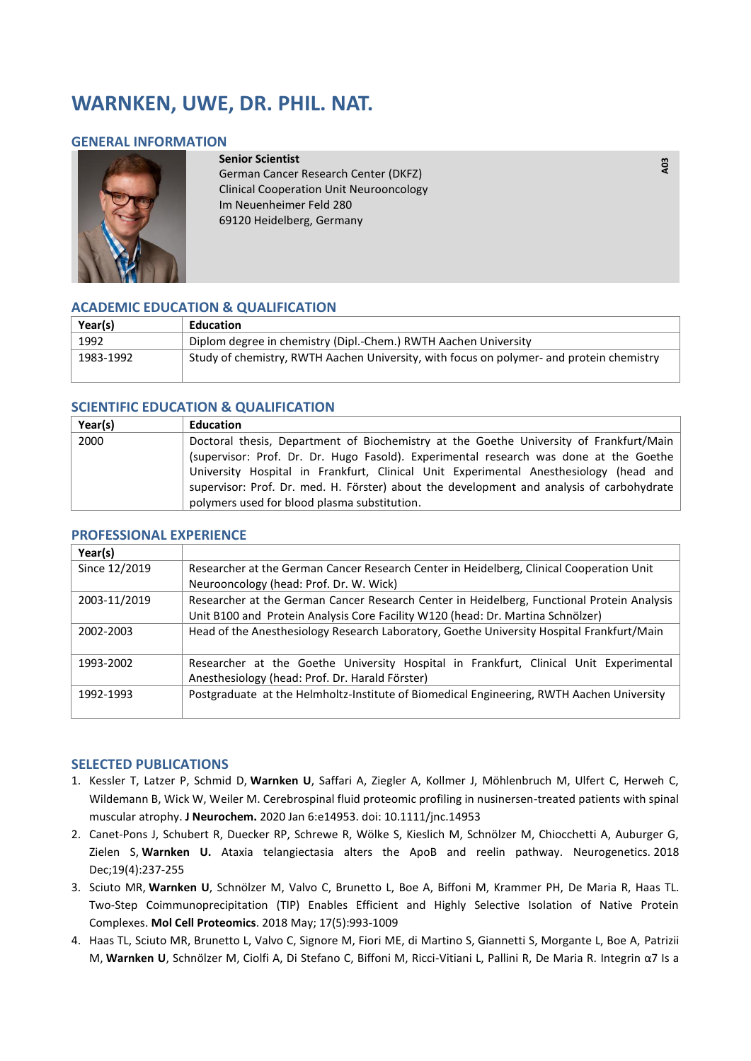# **WARNKEN, UWE, DR. PHIL. NAT.**

### **GENERAL INFORMATION**



**Senior Scientist**  German Cancer Research Center (DKFZ) Clinical Cooperation Unit Neurooncology Im Neuenheimer Feld 280 69120 Heidelberg, Germany

### **ACADEMIC EDUCATION & QUALIFICATION**

| Year(s)   | <b>Education</b>                                                                         |
|-----------|------------------------------------------------------------------------------------------|
| 1992      | Diplom degree in chemistry (Dipl.-Chem.) RWTH Aachen University                          |
| 1983-1992 | Study of chemistry, RWTH Aachen University, with focus on polymer- and protein chemistry |

### **SCIENTIFIC EDUCATION & QUALIFICATION**

| Year(s) | <b>Education</b>                                                                          |
|---------|-------------------------------------------------------------------------------------------|
| 2000    | Doctoral thesis, Department of Biochemistry at the Goethe University of Frankfurt/Main    |
|         | (supervisor: Prof. Dr. Dr. Hugo Fasold). Experimental research was done at the Goethe     |
|         | University Hospital in Frankfurt, Clinical Unit Experimental Anesthesiology (head and     |
|         | supervisor: Prof. Dr. med. H. Förster) about the development and analysis of carbohydrate |
|         | polymers used for blood plasma substitution.                                              |

# **Year(s)**  Since 12/2019 Researcher at the German Cancer Research Center in Heidelberg, Clinical Cooperation Unit Neurooncology (head: Prof. Dr. W. Wick) 2003-11/2019 Researcher at the German Cancer Research Center in Heidelberg, Functional Protein Analysis Unit B100 and Protein Analysis Core Facility W120 (head: Dr. Martina Schnölzer) 2002-2003 Head of the Anesthesiology Research Laboratory, Goethe University Hospital Frankfurt/Main 1993-2002 Researcher at the Goethe University Hospital in Frankfurt, Clinical Unit Experimental Anesthesiology (head: Prof. Dr. Harald Förster) 1992-1993 Postgraduate at the Helmholtz-Institute of Biomedical Engineering, RWTH Aachen University

### **PROFESSIONAL EXPERIENCE**

### **SELECTED PUBLICATIONS**

- 1. Kessler T, Latzer P, Schmid D, **Warnken U**, Saffari A, Ziegler A, Kollmer J, Möhlenbruch M, Ulfert C, Herweh C, Wildemann B, Wick W, Weiler M. Cerebrospinal fluid proteomic profiling in nusinersen-treated patients with spinal muscular atrophy. **[J Neurochem.](https://www.ncbi.nlm.nih.gov/pubmed/31903607)** 2020 Jan 6:e14953. doi: 10.1111/jnc.14953
- 2. Canet-Pons J, Schubert R, Duecker RP, Schrewe R, Wölke S, Kieslich M, Schnölzer M, Chiocchetti A, Auburger G, Zielen S, **Warnken U.** Ataxia telangiectasia alters the ApoB and reelin pathway. [Neurogenetics.](https://www.ncbi.nlm.nih.gov/pubmed/30343341) 2018 Dec;19(4):237-255
- 3. Sciuto MR, **Warnken U**, Schnölzer M, Valvo C, Brunetto L, Boe A, Biffoni M, Krammer PH, De Maria R, Haas TL. Two-Step Coimmunoprecipitation (TIP) Enables Efficient and Highly Selective Isolation of Native Protein Complexes. **[Mol Cell Proteomics](https://www.ncbi.nlm.nih.gov/pubmed/29217617)**. 2018 May; 17(5):993-1009
- 4. Haas TL, Sciuto MR, Brunetto L, Valvo C, Signore M, Fiori ME, di Martino S, Giannetti S, Morgante L, Boe A, Patrizii M, **Warnken U**, Schnölzer M, Ciolfi A, Di Stefano C, Biffoni M, Ricci-Vitiani L, Pallini R, De Maria R. Integrin α7 Is a